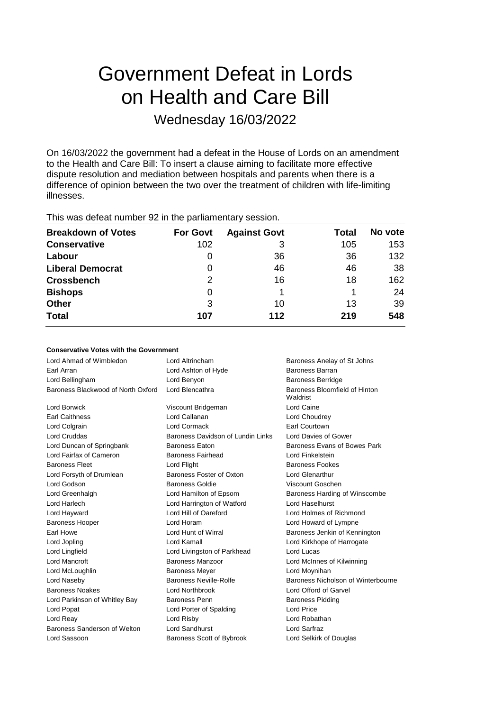# Government Defeat in Lords on Health and Care Bill

# Wednesday 16/03/2022

On 16/03/2022 the government had a defeat in the House of Lords on an amendment to the Health and Care Bill: To insert a clause aiming to facilitate more effective dispute resolution and mediation between hospitals and parents when there is a difference of opinion between the two over the treatment of children with life-limiting illnesses.

This was defeat number 92 in the parliamentary session.

| <b>Breakdown of Votes</b> | <b>For Govt</b> | <b>Against Govt</b> | Total | No vote |
|---------------------------|-----------------|---------------------|-------|---------|
| <b>Conservative</b>       | 102             | 3                   | 105   | 153     |
| Labour                    | O               | 36                  | 36    | 132     |
| <b>Liberal Democrat</b>   | 0               | 46                  | 46    | 38      |
| <b>Crossbench</b>         | 2               | 16                  | 18    | 162     |
| <b>Bishops</b>            | 0               |                     |       | 24      |
| <b>Other</b>              | 3               | 10                  | 13    | 39      |
| <b>Total</b>              | 107             | 112                 | 219   | 548     |

### **Conservative Votes with the Government**

| Lord Ahmad of Wimbledon            | Lord Altrincham                   | Baroness Anelay of St Johns               |  |
|------------------------------------|-----------------------------------|-------------------------------------------|--|
| Earl Arran                         | Lord Ashton of Hyde               | Baroness Barran                           |  |
| Lord Bellingham                    | Lord Benyon                       | <b>Baroness Berridge</b>                  |  |
| Baroness Blackwood of North Oxford | Lord Blencathra                   | Baroness Bloomfield of Hinton<br>Waldrist |  |
| Lord Borwick                       | Viscount Bridgeman                | Lord Caine                                |  |
| <b>Earl Caithness</b>              | Lord Callanan                     | Lord Choudrey                             |  |
| Lord Colgrain                      | Lord Cormack                      | <b>Earl Courtown</b>                      |  |
| <b>Lord Cruddas</b>                | Baroness Davidson of Lundin Links | <b>Lord Davies of Gower</b>               |  |
| Lord Duncan of Springbank          | <b>Baroness Eaton</b>             | Baroness Evans of Bowes Park              |  |
| Lord Fairfax of Cameron            | <b>Baroness Fairhead</b>          | Lord Finkelstein                          |  |
| <b>Baroness Fleet</b>              | Lord Flight                       | <b>Baroness Fookes</b>                    |  |
| Lord Forsyth of Drumlean           | Baroness Foster of Oxton          | <b>Lord Glenarthur</b>                    |  |
| Lord Godson                        | <b>Baroness Goldie</b>            | Viscount Goschen                          |  |
| Lord Greenhalgh                    | Lord Hamilton of Epsom            | Baroness Harding of Winscombe             |  |
| Lord Harlech                       | Lord Harrington of Watford        | Lord Haselhurst                           |  |
| Lord Hayward                       | Lord Hill of Oareford             | Lord Holmes of Richmond                   |  |
| <b>Baroness Hooper</b>             | Lord Horam                        | Lord Howard of Lympne                     |  |
| Earl Howe                          | Lord Hunt of Wirral               | Baroness Jenkin of Kennington             |  |
| Lord Jopling                       | Lord Kamall                       | Lord Kirkhope of Harrogate                |  |
| Lord Lingfield                     | Lord Livingston of Parkhead       | Lord Lucas                                |  |
| Lord Mancroft                      | Baroness Manzoor                  | Lord McInnes of Kilwinning                |  |
| Lord McLoughlin                    | <b>Baroness Meyer</b>             | Lord Moynihan                             |  |
| Lord Naseby                        | Baroness Neville-Rolfe            | Baroness Nicholson of Winterbourne        |  |
| <b>Baroness Noakes</b>             | Lord Northbrook                   | Lord Offord of Garvel                     |  |
| Lord Parkinson of Whitley Bay      | <b>Baroness Penn</b>              | <b>Baroness Pidding</b>                   |  |
| Lord Popat                         | Lord Porter of Spalding           | Lord Price                                |  |
| Lord Reay                          | Lord Risby                        | Lord Robathan                             |  |
| Baroness Sanderson of Welton       | Lord Sandhurst                    | Lord Sarfraz                              |  |
| Lord Sassoon                       | Baroness Scott of Bybrook         | Lord Selkirk of Douglas                   |  |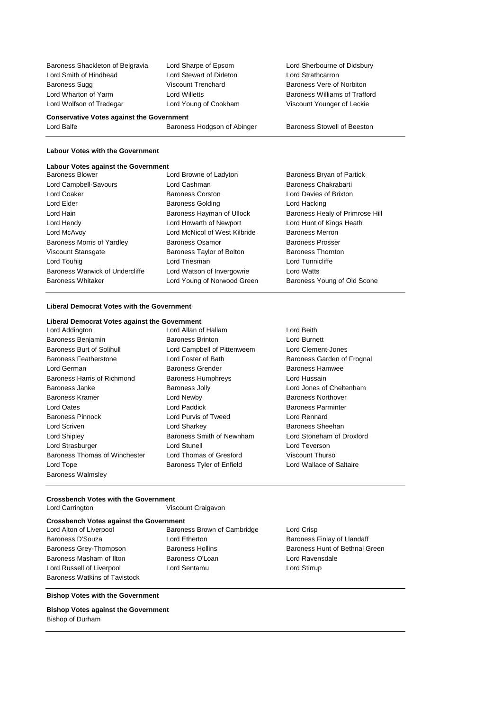Baroness Shackleton of Belgravia Lord Sharpe of Epsom Lord Sherbourne of Didsbury Lord Smith of Hindhead Lord Stewart of Dirleton Lord Strathcarron Baroness Sugg **Viscount Trenchard** Baroness Vere of Norbiton Lord Wharton of Yarm Lord Willetts Baroness Williams of Trafford Lord Wolfson of Tredegar Lord Young of Cookham Viscount Younger of Leckie

**Conservative Votes against the Government** Lord Balfe **Baroness Hodgson of Abinger** Baroness Stowell of Beeston

#### **Labour Votes with the Government**

### **Labour Votes against the Government**

Baroness Blower **Lord Browne of Ladyton** Baroness Bryan of Partick Lord Campbell-Savours Lord Cashman Baroness Chakrabarti Lord Coaker Baroness Corston Lord Davies of Brixton Lord Elder **Baroness Golding Community** Lord Hacking Lord Hacking Lord Hain **Baroness Hayman of Ullock** Baroness Healy of Primrose Hill Lord Hendy Lord Howarth of Newport Lord Hunt of Kings Heath Lord McAvoy Lord McNicol of West Kilbride Baroness Merron Baroness Morris of Yardley **Baroness Osamor** Baroness Prosser Viscount Stansgate **Baroness Taylor of Bolton** Baroness Thornton Lord Touhig **Lord Triesman** Lord Triesman Lord Tunnicliffe Baroness Warwick of Undercliffe Lord Watson of Invergowrie Lord Watts Baroness Whitaker Lord Young of Norwood Green Baroness Young of Old Scone

### **Liberal Democrat Votes with the Government**

# **Liberal Democrat Votes against the Government**

- Baroness Benjamin Baroness Brinton Lord Burnett Baroness Burt of Solihull Lord Campbell of Pittenweem Lord Clement-Jones Baroness Featherstone Lord Foster of Bath Baroness Garden of Frognal Lord German Baroness Grender Baroness Hamwee Baroness Harris of Richmond Baroness Humphreys Lord Hussain Baroness Janke Baroness Jolly Lord Jones of Cheltenham Baroness Kramer **Reserves** Lord Newby **Baroness Northover** Baroness Northover Lord Oates **Lord Paddick** Baroness Parminter Baroness Pinnock Lord Purvis of Tweed Lord Rennard Lord Scriven Lord Sharkey Baroness Sheehan Lord Shipley Baroness Smith of Newnham Lord Stoneham of Droxford Lord Strasburger Lord Stunell Lord Teverson Baroness Thomas of Winchester Lord Thomas of Gresford Viscount Thurso Lord Tope **Baroness Tyler of Enfield** Lord Wallace of Saltaire Baroness Walmsley
	-
- Lord Allan of Hallam **Lord Beith**

#### **Crossbench Votes with the Government**

Lord Carrington Viscount Craigavon

### **Crossbench Votes against the Government**

Lord Alton of Liverpool **Baroness Brown of Cambridge** Lord Crisp Baroness D'Souza **Baroness L'Ouverture Communister Communister Communister Communister Communister Communister** Baroness Masham of Ilton Baroness O'Loan Lord Ravensdale Lord Russell of Liverpool Lord Sentamu Lord Stirrup Baroness Watkins of Tavistock

- 
- Baroness Grey-Thompson Baroness Hollins Baroness Hunt of Bethnal Green

### **Bishop Votes with the Government**

**Bishop Votes against the Government** Bishop of Durham